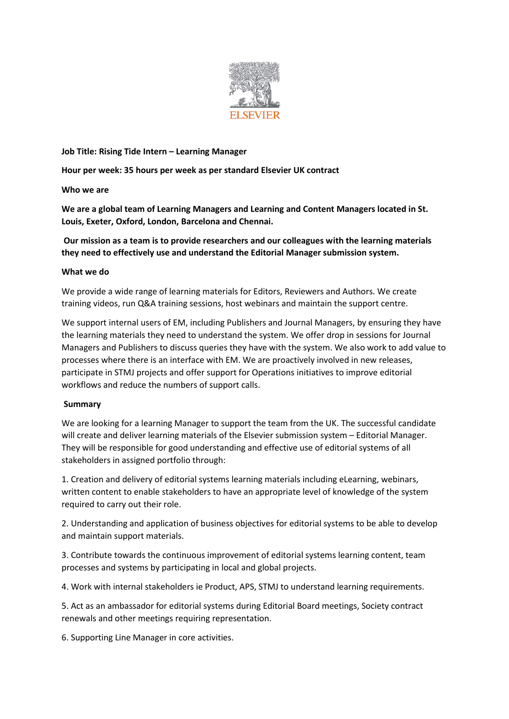

### **Job Title: Rising Tide Intern – Learning Manager**

**Hour per week: 35 hours per week as per standard Elsevier UK contract**

**Who we are**

**We are a global team of Learning Managers and Learning and Content Managers located in St. Louis, Exeter, Oxford, London, Barcelona and Chennai.**

# **Our mission as a team is to provide researchers and our colleagues with the learning materials they need to effectively use and understand the Editorial Manager submission system.**

### **What we do**

We provide a wide range of learning materials for Editors, Reviewers and Authors. We create training videos, run Q&A training sessions, host webinars and maintain the support centre.

We support internal users of EM, including Publishers and Journal Managers, by ensuring they have the learning materials they need to understand the system. We offer drop in sessions for Journal Managers and Publishers to discuss queries they have with the system. We also work to add value to processes where there is an interface with EM. We are proactively involved in new releases, participate in STMJ projects and offer support for Operations initiatives to improve editorial workflows and reduce the numbers of support calls.

## **Summary**

We are looking for a learning Manager to support the team from the UK. The successful candidate will create and deliver learning materials of the Elsevier submission system – Editorial Manager. They will be responsible for good understanding and effective use of editorial systems of all stakeholders in assigned portfolio through:

1. Creation and delivery of editorial systems learning materials including eLearning, webinars, written content to enable stakeholders to have an appropriate level of knowledge of the system required to carry out their role.

2. Understanding and application of business objectives for editorial systems to be able to develop and maintain support materials.

3. Contribute towards the continuous improvement of editorial systems learning content, team processes and systems by participating in local and global projects.

4. Work with internal stakeholders ie Product, APS, STMJ to understand learning requirements.

5. Act as an ambassador for editorial systems during Editorial Board meetings, Society contract renewals and other meetings requiring representation.

6. Supporting Line Manager in core activities.